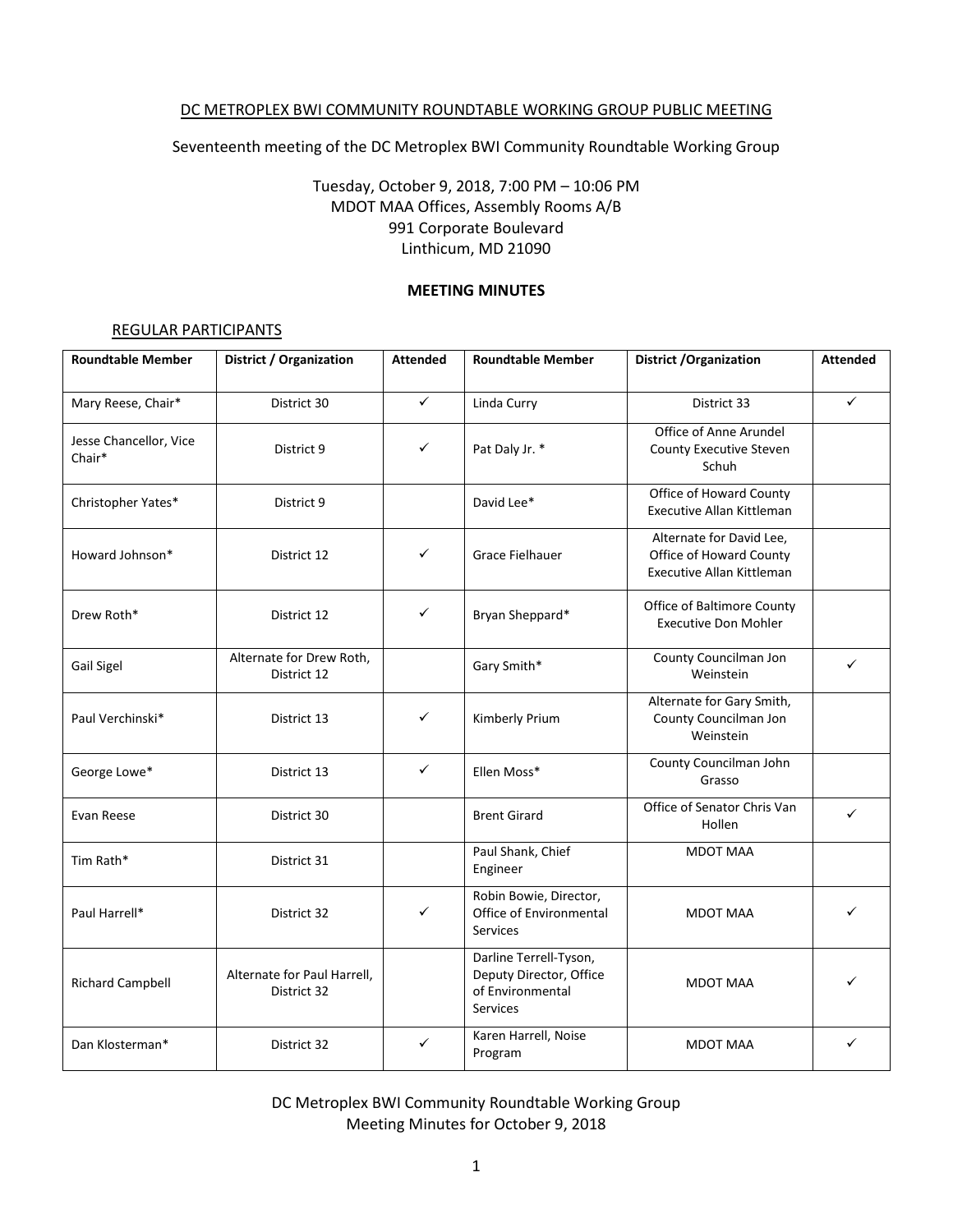#### DC METROPLEX BWI COMMUNITY ROUNDTABLE WORKING GROUP PUBLIC MEETING

Seventeenth meeting of the DC Metroplex BWI Community Roundtable Working Group

# Tuesday, October 9, 2018, 7:00 PM – 10:06 PM MDOT MAA Offices, Assembly Rooms A/B 991 Corporate Boulevard Linthicum, MD 21090

#### **MEETING MINUTES**

#### REGULAR PARTICIPANTS

| <b>Roundtable Member</b>         | <b>District / Organization</b>             | <b>Attended</b> | <b>Roundtable Member</b>                                                                 | <b>District / Organization</b>                                                   | <b>Attended</b> |
|----------------------------------|--------------------------------------------|-----------------|------------------------------------------------------------------------------------------|----------------------------------------------------------------------------------|-----------------|
| Mary Reese, Chair*               | District 30                                | $\checkmark$    | Linda Curry                                                                              | District 33                                                                      | ✓               |
| Jesse Chancellor, Vice<br>Chair* | District 9                                 | ✓               | Pat Daly Jr. *                                                                           | Office of Anne Arundel<br>County Executive Steven<br>Schuh                       |                 |
| Christopher Yates*               | District 9                                 |                 | David Lee*                                                                               | Office of Howard County<br>Executive Allan Kittleman                             |                 |
| Howard Johnson*                  | District 12                                | ✓               | Grace Fielhauer                                                                          | Alternate for David Lee,<br>Office of Howard County<br>Executive Allan Kittleman |                 |
| Drew Roth*                       | District 12                                | ✓               | Bryan Sheppard*                                                                          | Office of Baltimore County<br><b>Executive Don Mohler</b>                        |                 |
| Gail Sigel                       | Alternate for Drew Roth,<br>District 12    |                 | Gary Smith*                                                                              | County Councilman Jon<br>Weinstein                                               | ✓               |
| Paul Verchinski*                 | District 13                                | ✓               | Kimberly Prium                                                                           | Alternate for Gary Smith,<br>County Councilman Jon<br>Weinstein                  |                 |
| George Lowe*                     | District 13                                | $\checkmark$    | Ellen Moss*                                                                              | County Councilman John<br>Grasso                                                 |                 |
| Evan Reese                       | District 30                                |                 | <b>Brent Girard</b>                                                                      | Office of Senator Chris Van<br>Hollen                                            | $\checkmark$    |
| Tim Rath*                        | District 31                                |                 | Paul Shank, Chief<br>Engineer                                                            | <b>MDOT MAA</b>                                                                  |                 |
| Paul Harrell*                    | District 32                                | ✓               | Robin Bowie, Director,<br>Office of Environmental<br>Services                            | <b>MDOT MAA</b>                                                                  | ✓               |
| <b>Richard Campbell</b>          | Alternate for Paul Harrell,<br>District 32 |                 | Darline Terrell-Tyson,<br>Deputy Director, Office<br>of Environmental<br><b>Services</b> | <b>MDOT MAA</b>                                                                  |                 |
| Dan Klosterman*                  | District 32                                | ✓               | Karen Harrell, Noise<br>Program                                                          | <b>MDOT MAA</b>                                                                  | ✓               |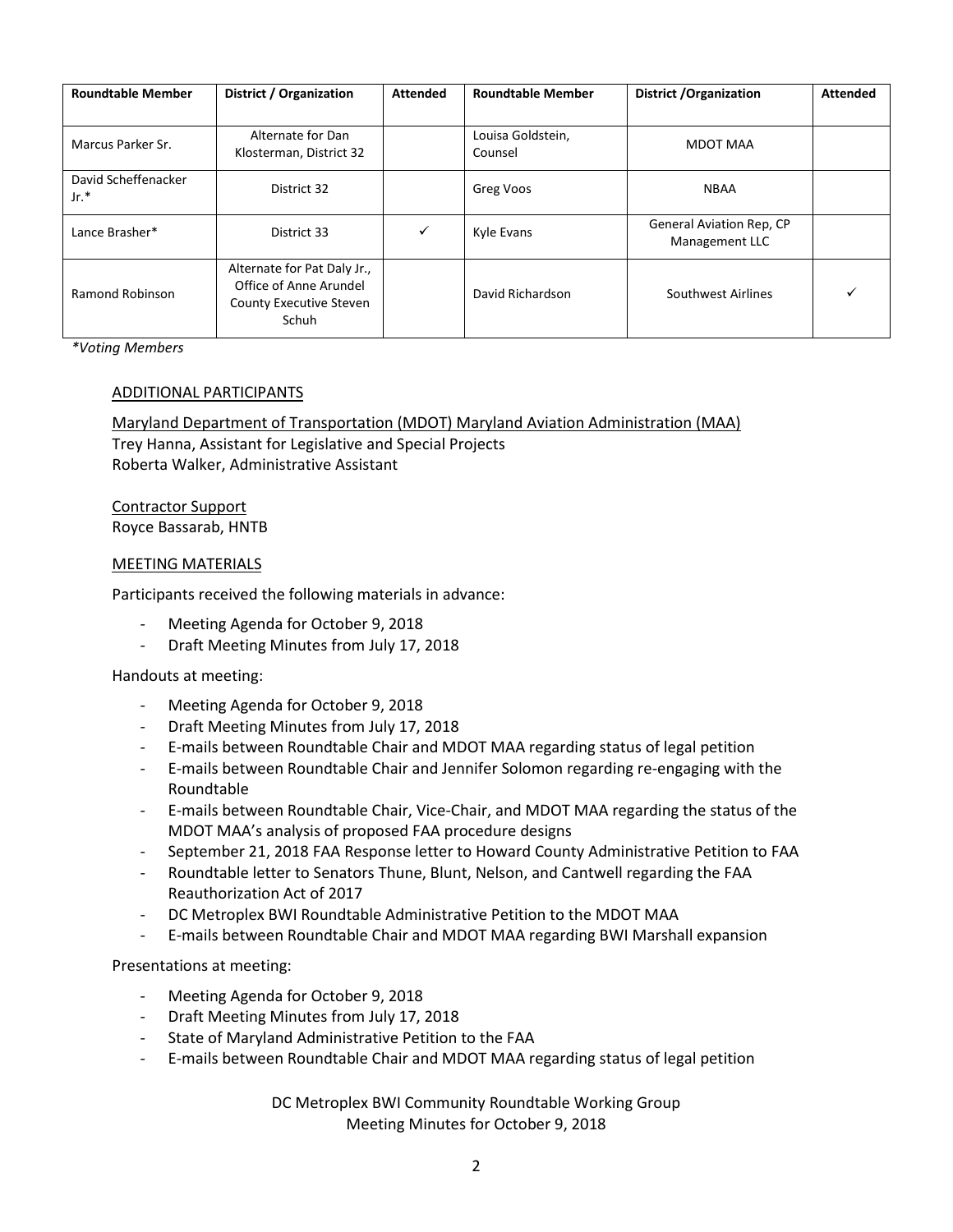| <b>Roundtable Member</b>      | District / Organization                                                                          | <b>Attended</b> | <b>Roundtable Member</b>     | <b>District / Organization</b>             | <b>Attended</b> |
|-------------------------------|--------------------------------------------------------------------------------------------------|-----------------|------------------------------|--------------------------------------------|-----------------|
| Marcus Parker Sr.             | Alternate for Dan<br>Klosterman, District 32                                                     |                 | Louisa Goldstein,<br>Counsel | MDOT MAA                                   |                 |
| David Scheffenacker<br>$Jr.*$ | District 32                                                                                      |                 | Greg Voos                    | <b>NBAA</b>                                |                 |
| Lance Brasher*                | District 33                                                                                      | ✓               | Kyle Evans                   | General Aviation Rep, CP<br>Management LLC |                 |
| Ramond Robinson               | Alternate for Pat Daly Jr.,<br>Office of Anne Arundel<br><b>County Executive Steven</b><br>Schuh |                 | David Richardson             | Southwest Airlines                         |                 |

*\*Voting Members*

#### ADDITIONAL PARTICIPANTS

Maryland Department of Transportation (MDOT) Maryland Aviation Administration (MAA)

Trey Hanna, Assistant for Legislative and Special Projects Roberta Walker, Administrative Assistant

Contractor Support Royce Bassarab, HNTB

#### MEETING MATERIALS

Participants received the following materials in advance:

- Meeting Agenda for October 9, 2018
- Draft Meeting Minutes from July 17, 2018

Handouts at meeting:

- Meeting Agenda for October 9, 2018
- Draft Meeting Minutes from July 17, 2018
- E-mails between Roundtable Chair and MDOT MAA regarding status of legal petition
- E-mails between Roundtable Chair and Jennifer Solomon regarding re-engaging with the Roundtable
- E-mails between Roundtable Chair, Vice-Chair, and MDOT MAA regarding the status of the MDOT MAA's analysis of proposed FAA procedure designs
- September 21, 2018 FAA Response letter to Howard County Administrative Petition to FAA
- Roundtable letter to Senators Thune, Blunt, Nelson, and Cantwell regarding the FAA Reauthorization Act of 2017
- DC Metroplex BWI Roundtable Administrative Petition to the MDOT MAA
- E-mails between Roundtable Chair and MDOT MAA regarding BWI Marshall expansion

Presentations at meeting:

- Meeting Agenda for October 9, 2018
- Draft Meeting Minutes from July 17, 2018
- State of Maryland Administrative Petition to the FAA
- E-mails between Roundtable Chair and MDOT MAA regarding status of legal petition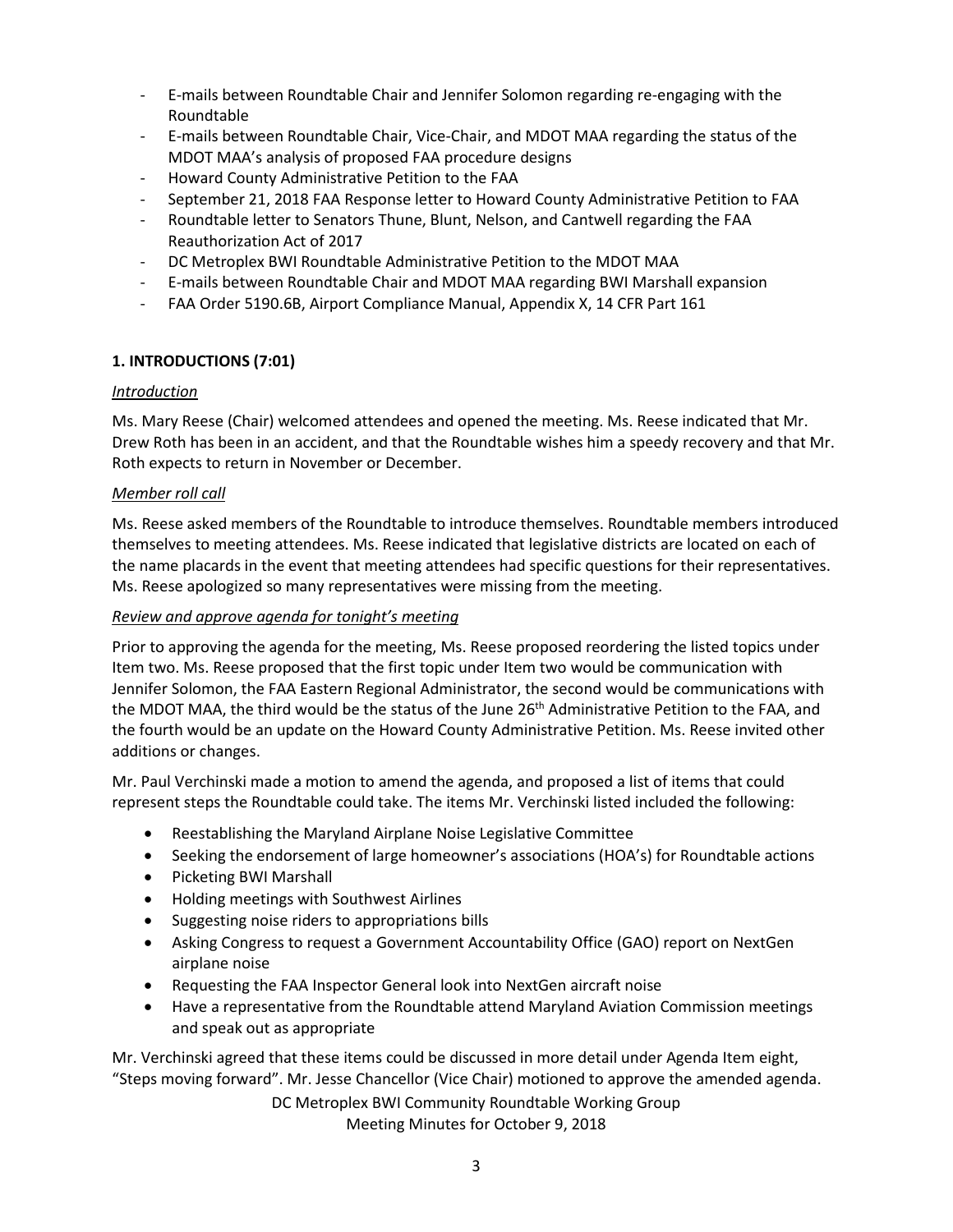- E-mails between Roundtable Chair and Jennifer Solomon regarding re-engaging with the Roundtable
- E-mails between Roundtable Chair, Vice-Chair, and MDOT MAA regarding the status of the MDOT MAA's analysis of proposed FAA procedure designs
- Howard County Administrative Petition to the FAA
- September 21, 2018 FAA Response letter to Howard County Administrative Petition to FAA
- Roundtable letter to Senators Thune, Blunt, Nelson, and Cantwell regarding the FAA Reauthorization Act of 2017
- DC Metroplex BWI Roundtable Administrative Petition to the MDOT MAA
- E-mails between Roundtable Chair and MDOT MAA regarding BWI Marshall expansion
- FAA Order 5190.6B, Airport Compliance Manual, Appendix X, 14 CFR Part 161

### **1. INTRODUCTIONS (7:01)**

### *Introduction*

Ms. Mary Reese (Chair) welcomed attendees and opened the meeting. Ms. Reese indicated that Mr. Drew Roth has been in an accident, and that the Roundtable wishes him a speedy recovery and that Mr. Roth expects to return in November or December.

### *Member roll call*

Ms. Reese asked members of the Roundtable to introduce themselves. Roundtable members introduced themselves to meeting attendees. Ms. Reese indicated that legislative districts are located on each of the name placards in the event that meeting attendees had specific questions for their representatives. Ms. Reese apologized so many representatives were missing from the meeting.

### *Review and approve agenda for tonight's meeting*

Prior to approving the agenda for the meeting, Ms. Reese proposed reordering the listed topics under Item two. Ms. Reese proposed that the first topic under Item two would be communication with Jennifer Solomon, the FAA Eastern Regional Administrator, the second would be communications with the MDOT MAA, the third would be the status of the June 26<sup>th</sup> Administrative Petition to the FAA, and the fourth would be an update on the Howard County Administrative Petition. Ms. Reese invited other additions or changes.

Mr. Paul Verchinski made a motion to amend the agenda, and proposed a list of items that could represent steps the Roundtable could take. The items Mr. Verchinski listed included the following:

- Reestablishing the Maryland Airplane Noise Legislative Committee
- Seeking the endorsement of large homeowner's associations (HOA's) for Roundtable actions
- Picketing BWI Marshall
- Holding meetings with Southwest Airlines
- Suggesting noise riders to appropriations bills
- Asking Congress to request a Government Accountability Office (GAO) report on NextGen airplane noise
- Requesting the FAA Inspector General look into NextGen aircraft noise
- Have a representative from the Roundtable attend Maryland Aviation Commission meetings and speak out as appropriate

Mr. Verchinski agreed that these items could be discussed in more detail under Agenda Item eight, "Steps moving forward". Mr. Jesse Chancellor (Vice Chair) motioned to approve the amended agenda.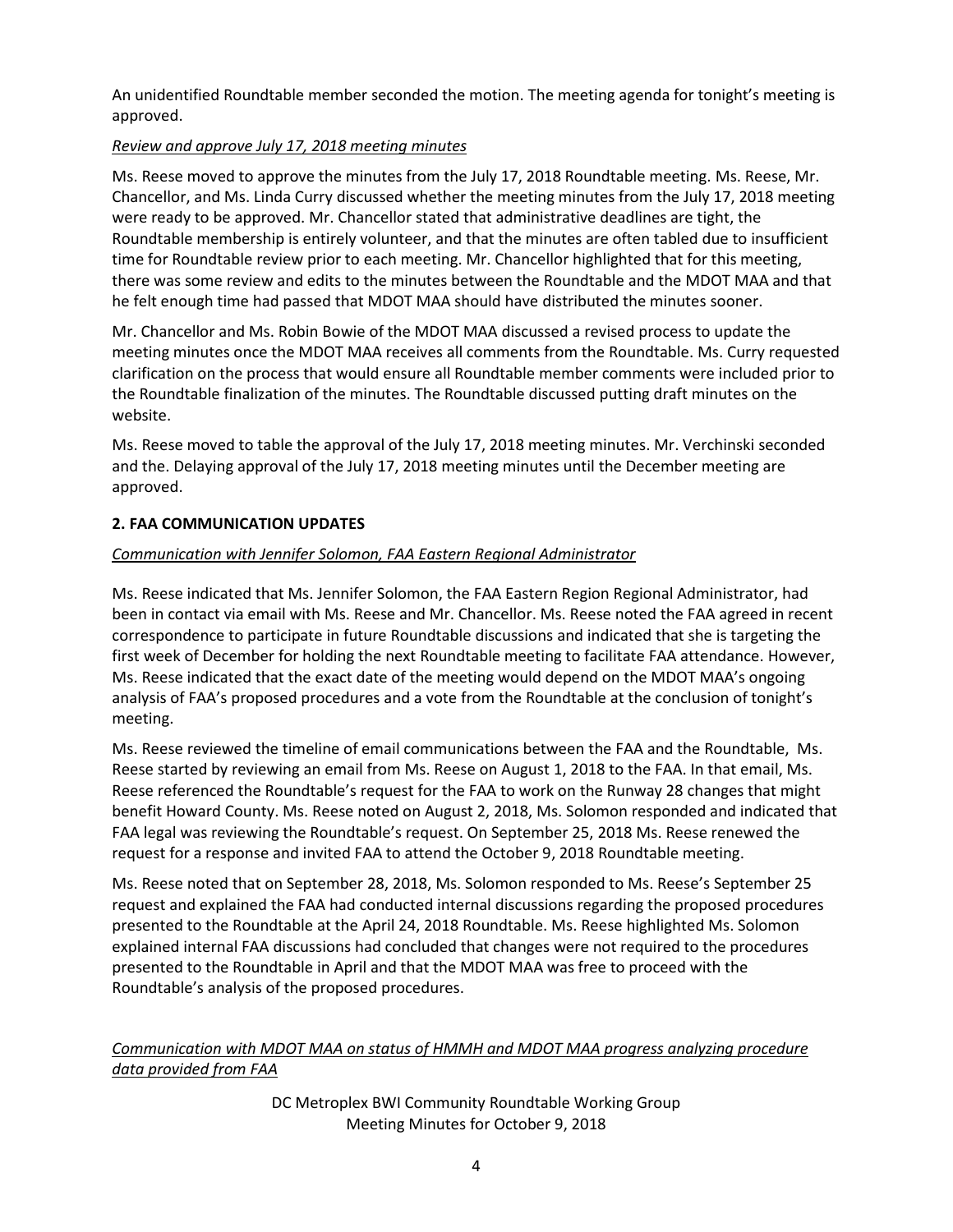An unidentified Roundtable member seconded the motion. The meeting agenda for tonight's meeting is approved.

# *Review and approve July 17, 2018 meeting minutes*

Ms. Reese moved to approve the minutes from the July 17, 2018 Roundtable meeting. Ms. Reese, Mr. Chancellor, and Ms. Linda Curry discussed whether the meeting minutes from the July 17, 2018 meeting were ready to be approved. Mr. Chancellor stated that administrative deadlines are tight, the Roundtable membership is entirely volunteer, and that the minutes are often tabled due to insufficient time for Roundtable review prior to each meeting. Mr. Chancellor highlighted that for this meeting, there was some review and edits to the minutes between the Roundtable and the MDOT MAA and that he felt enough time had passed that MDOT MAA should have distributed the minutes sooner.

Mr. Chancellor and Ms. Robin Bowie of the MDOT MAA discussed a revised process to update the meeting minutes once the MDOT MAA receives all comments from the Roundtable. Ms. Curry requested clarification on the process that would ensure all Roundtable member comments were included prior to the Roundtable finalization of the minutes. The Roundtable discussed putting draft minutes on the website.

Ms. Reese moved to table the approval of the July 17, 2018 meeting minutes. Mr. Verchinski seconded and the. Delaying approval of the July 17, 2018 meeting minutes until the December meeting are approved.

### **2. FAA COMMUNICATION UPDATES**

### *Communication with Jennifer Solomon, FAA Eastern Regional Administrator*

Ms. Reese indicated that Ms. Jennifer Solomon, the FAA Eastern Region Regional Administrator, had been in contact via email with Ms. Reese and Mr. Chancellor. Ms. Reese noted the FAA agreed in recent correspondence to participate in future Roundtable discussions and indicated that she is targeting the first week of December for holding the next Roundtable meeting to facilitate FAA attendance. However, Ms. Reese indicated that the exact date of the meeting would depend on the MDOT MAA's ongoing analysis of FAA's proposed procedures and a vote from the Roundtable at the conclusion of tonight's meeting.

Ms. Reese reviewed the timeline of email communications between the FAA and the Roundtable, Ms. Reese started by reviewing an email from Ms. Reese on August 1, 2018 to the FAA. In that email, Ms. Reese referenced the Roundtable's request for the FAA to work on the Runway 28 changes that might benefit Howard County. Ms. Reese noted on August 2, 2018, Ms. Solomon responded and indicated that FAA legal was reviewing the Roundtable's request. On September 25, 2018 Ms. Reese renewed the request for a response and invited FAA to attend the October 9, 2018 Roundtable meeting.

Ms. Reese noted that on September 28, 2018, Ms. Solomon responded to Ms. Reese's September 25 request and explained the FAA had conducted internal discussions regarding the proposed procedures presented to the Roundtable at the April 24, 2018 Roundtable. Ms. Reese highlighted Ms. Solomon explained internal FAA discussions had concluded that changes were not required to the procedures presented to the Roundtable in April and that the MDOT MAA was free to proceed with the Roundtable's analysis of the proposed procedures.

# *Communication with MDOT MAA on status of HMMH and MDOT MAA progress analyzing procedure data provided from FAA*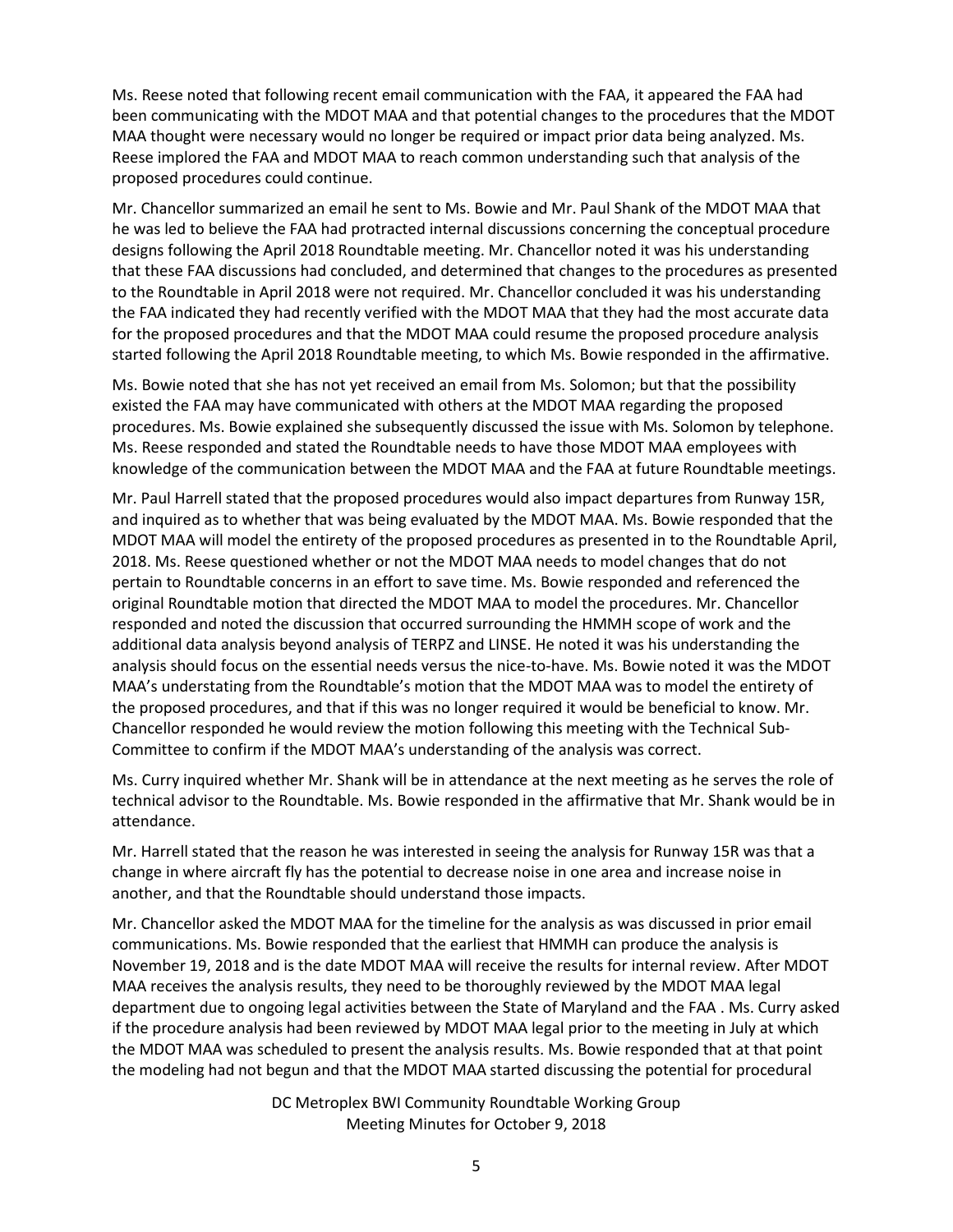Ms. Reese noted that following recent email communication with the FAA, it appeared the FAA had been communicating with the MDOT MAA and that potential changes to the procedures that the MDOT MAA thought were necessary would no longer be required or impact prior data being analyzed. Ms. Reese implored the FAA and MDOT MAA to reach common understanding such that analysis of the proposed procedures could continue.

Mr. Chancellor summarized an email he sent to Ms. Bowie and Mr. Paul Shank of the MDOT MAA that he was led to believe the FAA had protracted internal discussions concerning the conceptual procedure designs following the April 2018 Roundtable meeting. Mr. Chancellor noted it was his understanding that these FAA discussions had concluded, and determined that changes to the procedures as presented to the Roundtable in April 2018 were not required. Mr. Chancellor concluded it was his understanding the FAA indicated they had recently verified with the MDOT MAA that they had the most accurate data for the proposed procedures and that the MDOT MAA could resume the proposed procedure analysis started following the April 2018 Roundtable meeting, to which Ms. Bowie responded in the affirmative.

Ms. Bowie noted that she has not yet received an email from Ms. Solomon; but that the possibility existed the FAA may have communicated with others at the MDOT MAA regarding the proposed procedures. Ms. Bowie explained she subsequently discussed the issue with Ms. Solomon by telephone. Ms. Reese responded and stated the Roundtable needs to have those MDOT MAA employees with knowledge of the communication between the MDOT MAA and the FAA at future Roundtable meetings.

Mr. Paul Harrell stated that the proposed procedures would also impact departures from Runway 15R, and inquired as to whether that was being evaluated by the MDOT MAA. Ms. Bowie responded that the MDOT MAA will model the entirety of the proposed procedures as presented in to the Roundtable April, 2018. Ms. Reese questioned whether or not the MDOT MAA needs to model changes that do not pertain to Roundtable concerns in an effort to save time. Ms. Bowie responded and referenced the original Roundtable motion that directed the MDOT MAA to model the procedures. Mr. Chancellor responded and noted the discussion that occurred surrounding the HMMH scope of work and the additional data analysis beyond analysis of TERPZ and LINSE. He noted it was his understanding the analysis should focus on the essential needs versus the nice-to-have. Ms. Bowie noted it was the MDOT MAA's understating from the Roundtable's motion that the MDOT MAA was to model the entirety of the proposed procedures, and that if this was no longer required it would be beneficial to know. Mr. Chancellor responded he would review the motion following this meeting with the Technical Sub-Committee to confirm if the MDOT MAA's understanding of the analysis was correct.

Ms. Curry inquired whether Mr. Shank will be in attendance at the next meeting as he serves the role of technical advisor to the Roundtable. Ms. Bowie responded in the affirmative that Mr. Shank would be in attendance.

Mr. Harrell stated that the reason he was interested in seeing the analysis for Runway 15R was that a change in where aircraft fly has the potential to decrease noise in one area and increase noise in another, and that the Roundtable should understand those impacts.

Mr. Chancellor asked the MDOT MAA for the timeline for the analysis as was discussed in prior email communications. Ms. Bowie responded that the earliest that HMMH can produce the analysis is November 19, 2018 and is the date MDOT MAA will receive the results for internal review. After MDOT MAA receives the analysis results, they need to be thoroughly reviewed by the MDOT MAA legal department due to ongoing legal activities between the State of Maryland and the FAA . Ms. Curry asked if the procedure analysis had been reviewed by MDOT MAA legal prior to the meeting in July at which the MDOT MAA was scheduled to present the analysis results. Ms. Bowie responded that at that point the modeling had not begun and that the MDOT MAA started discussing the potential for procedural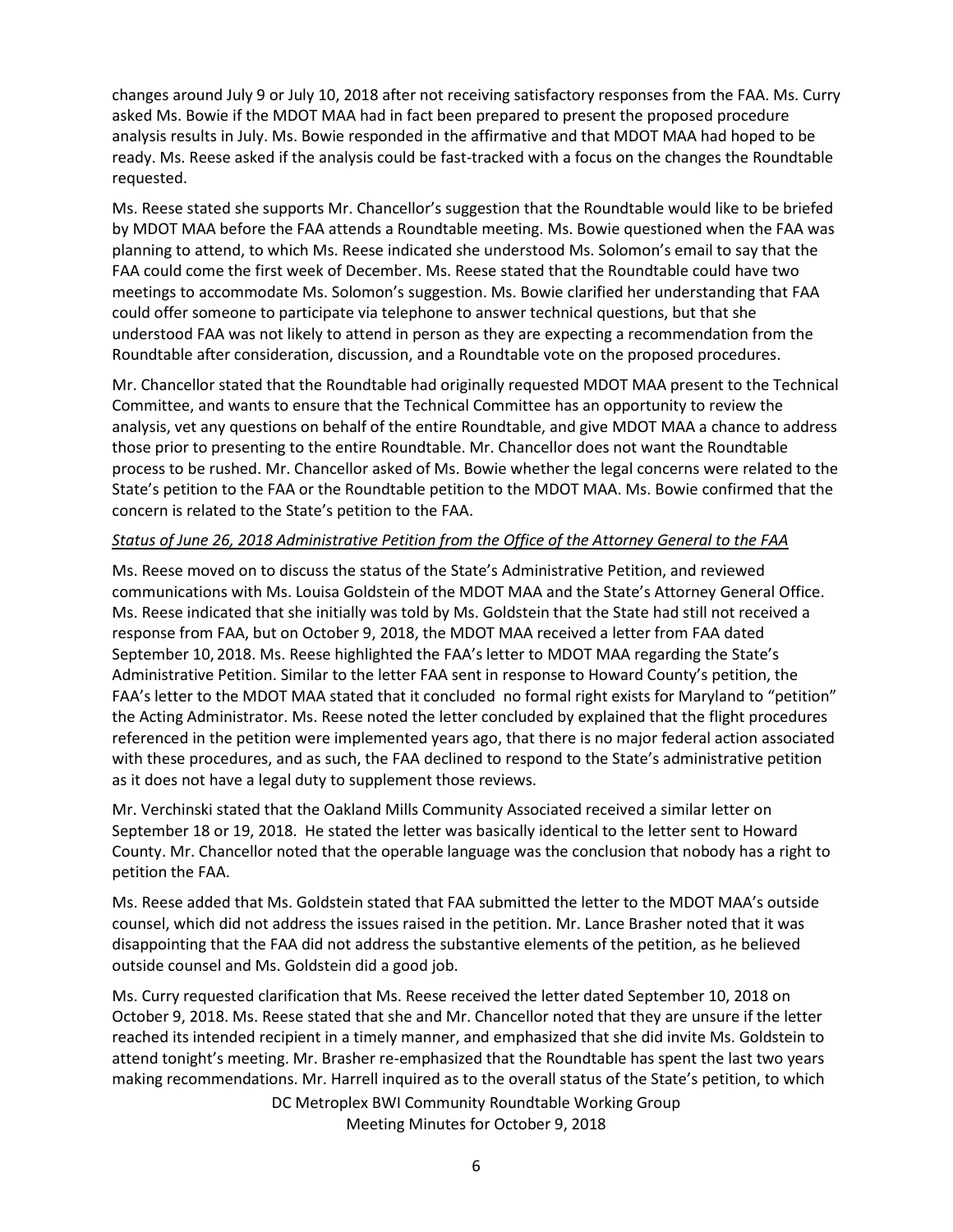changes around July 9 or July 10, 2018 after not receiving satisfactory responses from the FAA. Ms. Curry asked Ms. Bowie if the MDOT MAA had in fact been prepared to present the proposed procedure analysis results in July. Ms. Bowie responded in the affirmative and that MDOT MAA had hoped to be ready. Ms. Reese asked if the analysis could be fast-tracked with a focus on the changes the Roundtable requested.

Ms. Reese stated she supports Mr. Chancellor's suggestion that the Roundtable would like to be briefed by MDOT MAA before the FAA attends a Roundtable meeting. Ms. Bowie questioned when the FAA was planning to attend, to which Ms. Reese indicated she understood Ms. Solomon's email to say that the FAA could come the first week of December. Ms. Reese stated that the Roundtable could have two meetings to accommodate Ms. Solomon's suggestion. Ms. Bowie clarified her understanding that FAA could offer someone to participate via telephone to answer technical questions, but that she understood FAA was not likely to attend in person as they are expecting a recommendation from the Roundtable after consideration, discussion, and a Roundtable vote on the proposed procedures.

Mr. Chancellor stated that the Roundtable had originally requested MDOT MAA present to the Technical Committee, and wants to ensure that the Technical Committee has an opportunity to review the analysis, vet any questions on behalf of the entire Roundtable, and give MDOT MAA a chance to address those prior to presenting to the entire Roundtable. Mr. Chancellor does not want the Roundtable process to be rushed. Mr. Chancellor asked of Ms. Bowie whether the legal concerns were related to the State's petition to the FAA or the Roundtable petition to the MDOT MAA. Ms. Bowie confirmed that the concern is related to the State's petition to the FAA.

### *Status of June 26, 2018 Administrative Petition from the Office of the Attorney General to the FAA*

Ms. Reese moved on to discuss the status of the State's Administrative Petition, and reviewed communications with Ms. Louisa Goldstein of the MDOT MAA and the State's Attorney General Office. Ms. Reese indicated that she initially was told by Ms. Goldstein that the State had still not received a response from FAA, but on October 9, 2018, the MDOT MAA received a letter from FAA dated September 10, 2018. Ms. Reese highlighted the FAA's letter to MDOT MAA regarding the State's Administrative Petition. Similar to the letter FAA sent in response to Howard County's petition, the FAA's letter to the MDOT MAA stated that it concluded no formal right exists for Maryland to "petition" the Acting Administrator. Ms. Reese noted the letter concluded by explained that the flight procedures referenced in the petition were implemented years ago, that there is no major federal action associated with these procedures, and as such, the FAA declined to respond to the State's administrative petition as it does not have a legal duty to supplement those reviews.

Mr. Verchinski stated that the Oakland Mills Community Associated received a similar letter on September 18 or 19, 2018. He stated the letter was basically identical to the letter sent to Howard County. Mr. Chancellor noted that the operable language was the conclusion that nobody has a right to petition the FAA.

Ms. Reese added that Ms. Goldstein stated that FAA submitted the letter to the MDOT MAA's outside counsel, which did not address the issues raised in the petition. Mr. Lance Brasher noted that it was disappointing that the FAA did not address the substantive elements of the petition, as he believed outside counsel and Ms. Goldstein did a good job.

Ms. Curry requested clarification that Ms. Reese received the letter dated September 10, 2018 on October 9, 2018. Ms. Reese stated that she and Mr. Chancellor noted that they are unsure if the letter reached its intended recipient in a timely manner, and emphasized that she did invite Ms. Goldstein to attend tonight's meeting. Mr. Brasher re-emphasized that the Roundtable has spent the last two years making recommendations. Mr. Harrell inquired as to the overall status of the State's petition, to which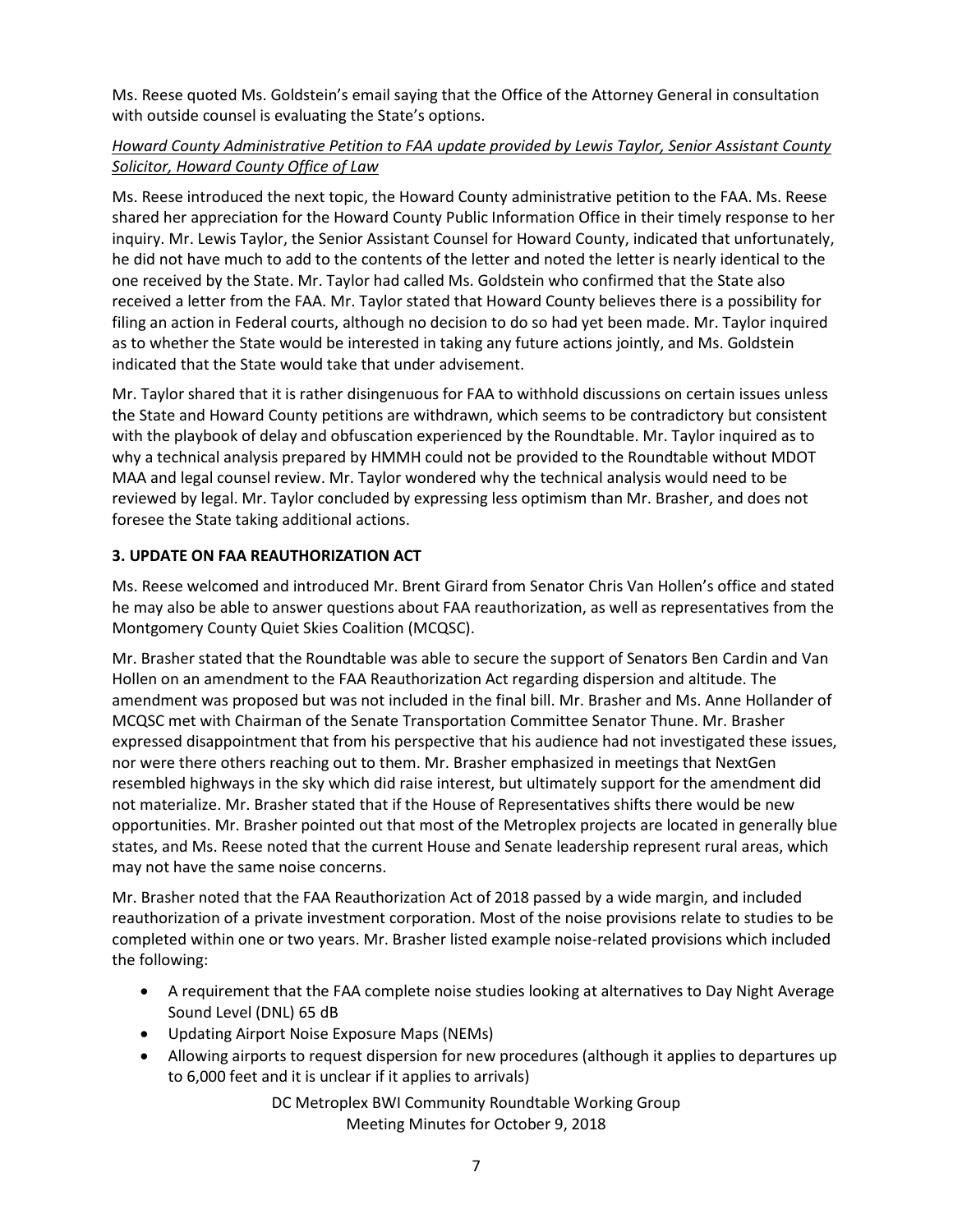Ms. Reese quoted Ms. Goldstein's email saying that the Office of the Attorney General in consultation with outside counsel is evaluating the State's options.

# *Howard County Administrative Petition to FAA update provided by Lewis Taylor, Senior Assistant County Solicitor, Howard County Office of Law*

Ms. Reese introduced the next topic, the Howard County administrative petition to the FAA. Ms. Reese shared her appreciation for the Howard County Public Information Office in their timely response to her inquiry. Mr. Lewis Taylor, the Senior Assistant Counsel for Howard County, indicated that unfortunately, he did not have much to add to the contents of the letter and noted the letter is nearly identical to the one received by the State. Mr. Taylor had called Ms. Goldstein who confirmed that the State also received a letter from the FAA. Mr. Taylor stated that Howard County believes there is a possibility for filing an action in Federal courts, although no decision to do so had yet been made. Mr. Taylor inquired as to whether the State would be interested in taking any future actions jointly, and Ms. Goldstein indicated that the State would take that under advisement.

Mr. Taylor shared that it is rather disingenuous for FAA to withhold discussions on certain issues unless the State and Howard County petitions are withdrawn, which seems to be contradictory but consistent with the playbook of delay and obfuscation experienced by the Roundtable. Mr. Taylor inquired as to why a technical analysis prepared by HMMH could not be provided to the Roundtable without MDOT MAA and legal counsel review. Mr. Taylor wondered why the technical analysis would need to be reviewed by legal. Mr. Taylor concluded by expressing less optimism than Mr. Brasher, and does not foresee the State taking additional actions.

# **3. UPDATE ON FAA REAUTHORIZATION ACT**

Ms. Reese welcomed and introduced Mr. Brent Girard from Senator Chris Van Hollen's office and stated he may also be able to answer questions about FAA reauthorization, as well as representatives from the Montgomery County Quiet Skies Coalition (MCQSC).

Mr. Brasher stated that the Roundtable was able to secure the support of Senators Ben Cardin and Van Hollen on an amendment to the FAA Reauthorization Act regarding dispersion and altitude. The amendment was proposed but was not included in the final bill. Mr. Brasher and Ms. Anne Hollander of MCQSC met with Chairman of the Senate Transportation Committee Senator Thune. Mr. Brasher expressed disappointment that from his perspective that his audience had not investigated these issues, nor were there others reaching out to them. Mr. Brasher emphasized in meetings that NextGen resembled highways in the sky which did raise interest, but ultimately support for the amendment did not materialize. Mr. Brasher stated that if the House of Representatives shifts there would be new opportunities. Mr. Brasher pointed out that most of the Metroplex projects are located in generally blue states, and Ms. Reese noted that the current House and Senate leadership represent rural areas, which may not have the same noise concerns.

Mr. Brasher noted that the FAA Reauthorization Act of 2018 passed by a wide margin, and included reauthorization of a private investment corporation. Most of the noise provisions relate to studies to be completed within one or two years. Mr. Brasher listed example noise-related provisions which included the following:

- A requirement that the FAA complete noise studies looking at alternatives to Day Night Average Sound Level (DNL) 65 dB
- Updating Airport Noise Exposure Maps (NEMs)
- Allowing airports to request dispersion for new procedures (although it applies to departures up to 6,000 feet and it is unclear if it applies to arrivals)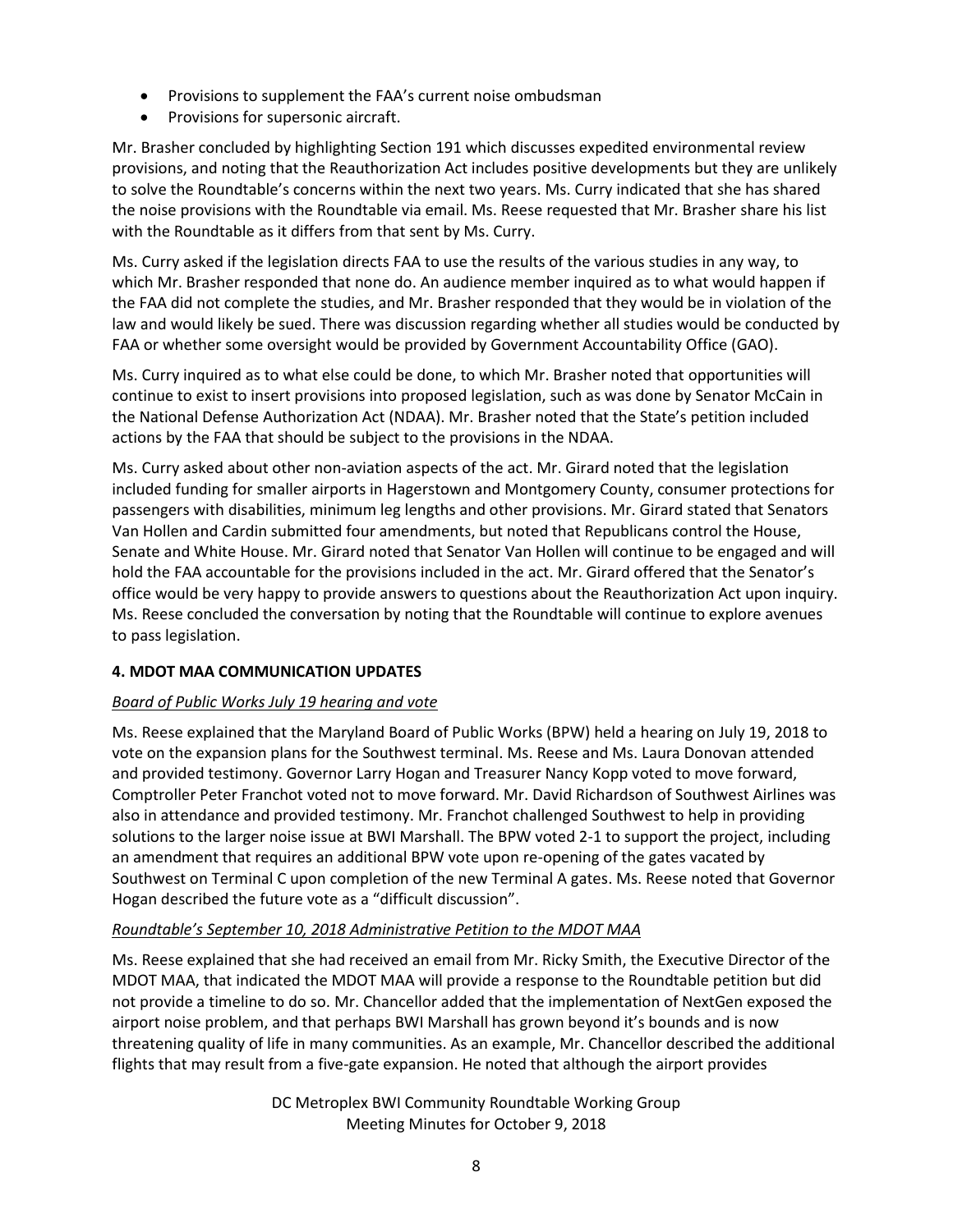- Provisions to supplement the FAA's current noise ombudsman
- Provisions for supersonic aircraft.

Mr. Brasher concluded by highlighting Section 191 which discusses expedited environmental review provisions, and noting that the Reauthorization Act includes positive developments but they are unlikely to solve the Roundtable's concerns within the next two years. Ms. Curry indicated that she has shared the noise provisions with the Roundtable via email. Ms. Reese requested that Mr. Brasher share his list with the Roundtable as it differs from that sent by Ms. Curry.

Ms. Curry asked if the legislation directs FAA to use the results of the various studies in any way, to which Mr. Brasher responded that none do. An audience member inquired as to what would happen if the FAA did not complete the studies, and Mr. Brasher responded that they would be in violation of the law and would likely be sued. There was discussion regarding whether all studies would be conducted by FAA or whether some oversight would be provided by Government Accountability Office (GAO).

Ms. Curry inquired as to what else could be done, to which Mr. Brasher noted that opportunities will continue to exist to insert provisions into proposed legislation, such as was done by Senator McCain in the National Defense Authorization Act (NDAA). Mr. Brasher noted that the State's petition included actions by the FAA that should be subject to the provisions in the NDAA.

Ms. Curry asked about other non-aviation aspects of the act. Mr. Girard noted that the legislation included funding for smaller airports in Hagerstown and Montgomery County, consumer protections for passengers with disabilities, minimum leg lengths and other provisions. Mr. Girard stated that Senators Van Hollen and Cardin submitted four amendments, but noted that Republicans control the House, Senate and White House. Mr. Girard noted that Senator Van Hollen will continue to be engaged and will hold the FAA accountable for the provisions included in the act. Mr. Girard offered that the Senator's office would be very happy to provide answers to questions about the Reauthorization Act upon inquiry. Ms. Reese concluded the conversation by noting that the Roundtable will continue to explore avenues to pass legislation.

# **4. MDOT MAA COMMUNICATION UPDATES**

# *Board of Public Works July 19 hearing and vote*

Ms. Reese explained that the Maryland Board of Public Works (BPW) held a hearing on July 19, 2018 to vote on the expansion plans for the Southwest terminal. Ms. Reese and Ms. Laura Donovan attended and provided testimony. Governor Larry Hogan and Treasurer Nancy Kopp voted to move forward, Comptroller Peter Franchot voted not to move forward. Mr. David Richardson of Southwest Airlines was also in attendance and provided testimony. Mr. Franchot challenged Southwest to help in providing solutions to the larger noise issue at BWI Marshall. The BPW voted 2-1 to support the project, including an amendment that requires an additional BPW vote upon re-opening of the gates vacated by Southwest on Terminal C upon completion of the new Terminal A gates. Ms. Reese noted that Governor Hogan described the future vote as a "difficult discussion".

### *Roundtable's September 10, 2018 Administrative Petition to the MDOT MAA*

Ms. Reese explained that she had received an email from Mr. Ricky Smith, the Executive Director of the MDOT MAA, that indicated the MDOT MAA will provide a response to the Roundtable petition but did not provide a timeline to do so. Mr. Chancellor added that the implementation of NextGen exposed the airport noise problem, and that perhaps BWI Marshall has grown beyond it's bounds and is now threatening quality of life in many communities. As an example, Mr. Chancellor described the additional flights that may result from a five-gate expansion. He noted that although the airport provides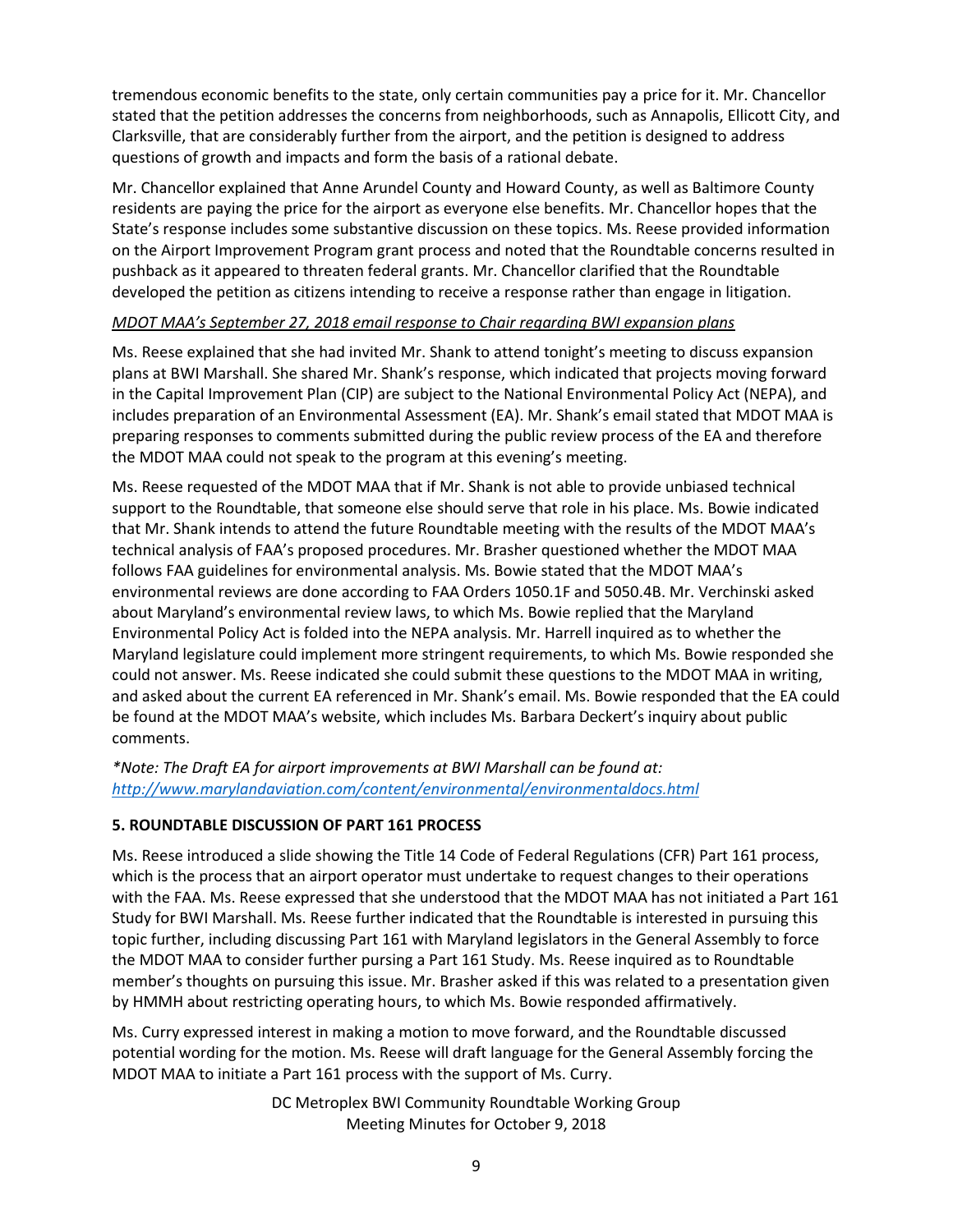tremendous economic benefits to the state, only certain communities pay a price for it. Mr. Chancellor stated that the petition addresses the concerns from neighborhoods, such as Annapolis, Ellicott City, and Clarksville, that are considerably further from the airport, and the petition is designed to address questions of growth and impacts and form the basis of a rational debate.

Mr. Chancellor explained that Anne Arundel County and Howard County, as well as Baltimore County residents are paying the price for the airport as everyone else benefits. Mr. Chancellor hopes that the State's response includes some substantive discussion on these topics. Ms. Reese provided information on the Airport Improvement Program grant process and noted that the Roundtable concerns resulted in pushback as it appeared to threaten federal grants. Mr. Chancellor clarified that the Roundtable developed the petition as citizens intending to receive a response rather than engage in litigation.

### *MDOT MAA's September 27, 2018 email response to Chair regarding BWI expansion plans*

Ms. Reese explained that she had invited Mr. Shank to attend tonight's meeting to discuss expansion plans at BWI Marshall. She shared Mr. Shank's response, which indicated that projects moving forward in the Capital Improvement Plan (CIP) are subject to the National Environmental Policy Act (NEPA), and includes preparation of an Environmental Assessment (EA). Mr. Shank's email stated that MDOT MAA is preparing responses to comments submitted during the public review process of the EA and therefore the MDOT MAA could not speak to the program at this evening's meeting.

Ms. Reese requested of the MDOT MAA that if Mr. Shank is not able to provide unbiased technical support to the Roundtable, that someone else should serve that role in his place. Ms. Bowie indicated that Mr. Shank intends to attend the future Roundtable meeting with the results of the MDOT MAA's technical analysis of FAA's proposed procedures. Mr. Brasher questioned whether the MDOT MAA follows FAA guidelines for environmental analysis. Ms. Bowie stated that the MDOT MAA's environmental reviews are done according to FAA Orders 1050.1F and 5050.4B. Mr. Verchinski asked about Maryland's environmental review laws, to which Ms. Bowie replied that the Maryland Environmental Policy Act is folded into the NEPA analysis. Mr. Harrell inquired as to whether the Maryland legislature could implement more stringent requirements, to which Ms. Bowie responded she could not answer. Ms. Reese indicated she could submit these questions to the MDOT MAA in writing, and asked about the current EA referenced in Mr. Shank's email. Ms. Bowie responded that the EA could be found at [the](http://www.marylandaviation.com/) MDOT MAA's website, which includes Ms. Barbara Deckert's inquiry about public comments.

*\*Note: The Draft EA for airport improvements at BWI Marshall can be found at: <http://www.marylandaviation.com/content/environmental/environmentaldocs.html>*

# **5. ROUNDTABLE DISCUSSION OF PART 161 PROCESS**

Ms. Reese introduced a slide showing the Title 14 Code of Federal Regulations (CFR) Part 161 process, which is the process that an airport operator must undertake to request changes to their operations with the FAA. Ms. Reese expressed that she understood that the MDOT MAA has not initiated a Part 161 Study for BWI Marshall. Ms. Reese further indicated that the Roundtable is interested in pursuing this topic further, including discussing Part 161 with Maryland legislators in the General Assembly to force the MDOT MAA to consider further pursing a Part 161 Study. Ms. Reese inquired as to Roundtable member's thoughts on pursuing this issue. Mr. Brasher asked if this was related to a presentation given by HMMH about restricting operating hours, to which Ms. Bowie responded affirmatively.

Ms. Curry expressed interest in making a motion to move forward, and the Roundtable discussed potential wording for the motion. Ms. Reese will draft language for the General Assembly forcing the MDOT MAA to initiate a Part 161 process with the support of Ms. Curry.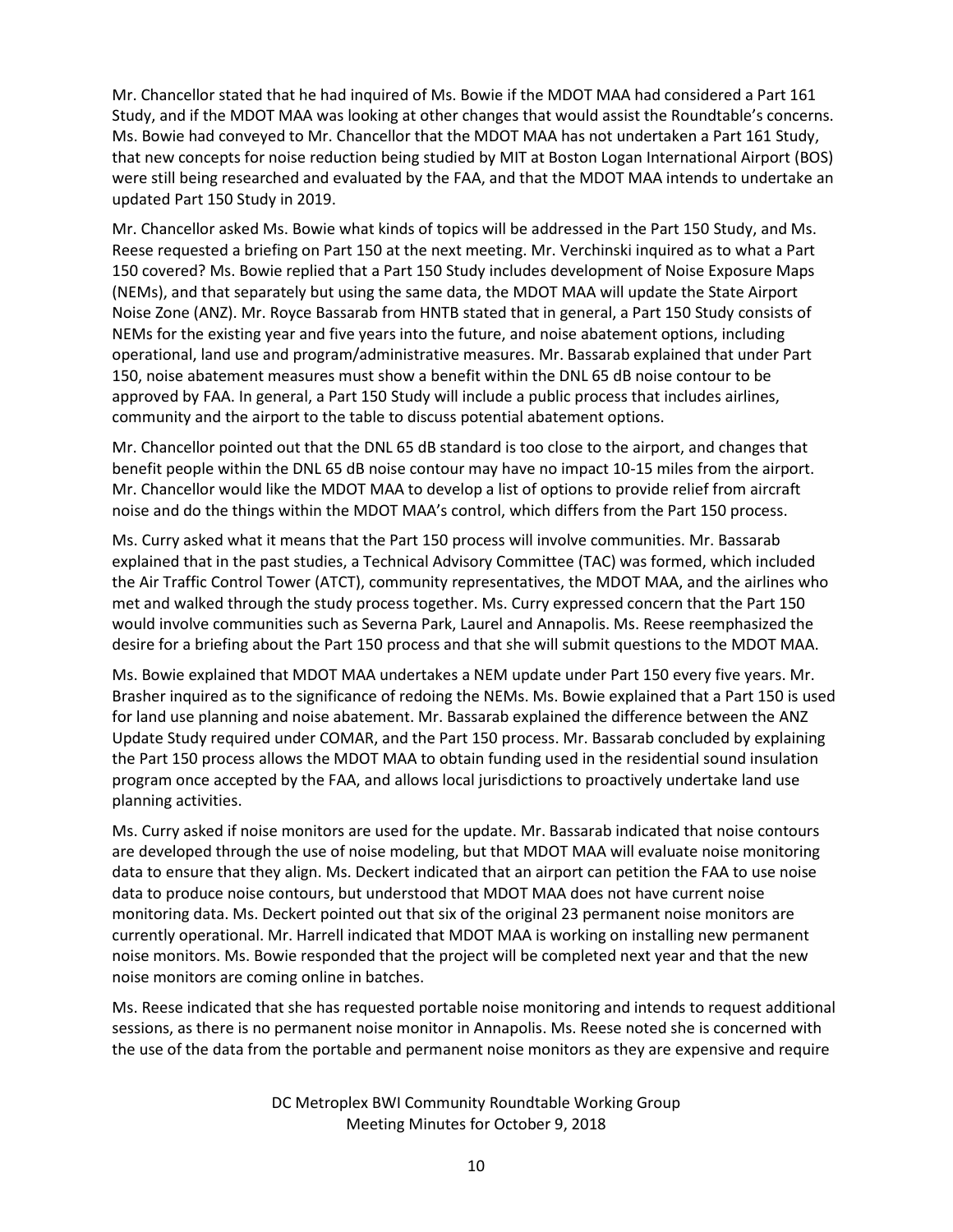Mr. Chancellor stated that he had inquired of Ms. Bowie if the MDOT MAA had considered a Part 161 Study, and if the MDOT MAA was looking at other changes that would assist the Roundtable's concerns. Ms. Bowie had conveyed to Mr. Chancellor that the MDOT MAA has not undertaken a Part 161 Study, that new concepts for noise reduction being studied by MIT at Boston Logan International Airport (BOS) were still being researched and evaluated by the FAA, and that the MDOT MAA intends to undertake an updated Part 150 Study in 2019.

Mr. Chancellor asked Ms. Bowie what kinds of topics will be addressed in the Part 150 Study, and Ms. Reese requested a briefing on Part 150 at the next meeting. Mr. Verchinski inquired as to what a Part 150 covered? Ms. Bowie replied that a Part 150 Study includes development of Noise Exposure Maps (NEMs), and that separately but using the same data, the MDOT MAA will update the State Airport Noise Zone (ANZ). Mr. Royce Bassarab from HNTB stated that in general, a Part 150 Study consists of NEMs for the existing year and five years into the future, and noise abatement options, including operational, land use and program/administrative measures. Mr. Bassarab explained that under Part 150, noise abatement measures must show a benefit within the DNL 65 dB noise contour to be approved by FAA. In general, a Part 150 Study will include a public process that includes airlines, community and the airport to the table to discuss potential abatement options.

Mr. Chancellor pointed out that the DNL 65 dB standard is too close to the airport, and changes that benefit people within the DNL 65 dB noise contour may have no impact 10-15 miles from the airport. Mr. Chancellor would like the MDOT MAA to develop a list of options to provide relief from aircraft noise and do the things within the MDOT MAA's control, which differs from the Part 150 process.

Ms. Curry asked what it means that the Part 150 process will involve communities. Mr. Bassarab explained that in the past studies, a Technical Advisory Committee (TAC) was formed, which included the Air Traffic Control Tower (ATCT), community representatives, the MDOT MAA, and the airlines who met and walked through the study process together. Ms. Curry expressed concern that the Part 150 would involve communities such as Severna Park, Laurel and Annapolis. Ms. Reese reemphasized the desire for a briefing about the Part 150 process and that she will submit questions to the MDOT MAA.

Ms. Bowie explained that MDOT MAA undertakes a NEM update under Part 150 every five years. Mr. Brasher inquired as to the significance of redoing the NEMs. Ms. Bowie explained that a Part 150 is used for land use planning and noise abatement. Mr. Bassarab explained the difference between the ANZ Update Study required under COMAR, and the Part 150 process. Mr. Bassarab concluded by explaining the Part 150 process allows the MDOT MAA to obtain funding used in the residential sound insulation program once accepted by the FAA, and allows local jurisdictions to proactively undertake land use planning activities.

Ms. Curry asked if noise monitors are used for the update. Mr. Bassarab indicated that noise contours are developed through the use of noise modeling, but that MDOT MAA will evaluate noise monitoring data to ensure that they align. Ms. Deckert indicated that an airport can petition the FAA to use noise data to produce noise contours, but understood that MDOT MAA does not have current noise monitoring data. Ms. Deckert pointed out that six of the original 23 permanent noise monitors are currently operational. Mr. Harrell indicated that MDOT MAA is working on installing new permanent noise monitors. Ms. Bowie responded that the project will be completed next year and that the new noise monitors are coming online in batches.

Ms. Reese indicated that she has requested portable noise monitoring and intends to request additional sessions, as there is no permanent noise monitor in Annapolis. Ms. Reese noted she is concerned with the use of the data from the portable and permanent noise monitors as they are expensive and require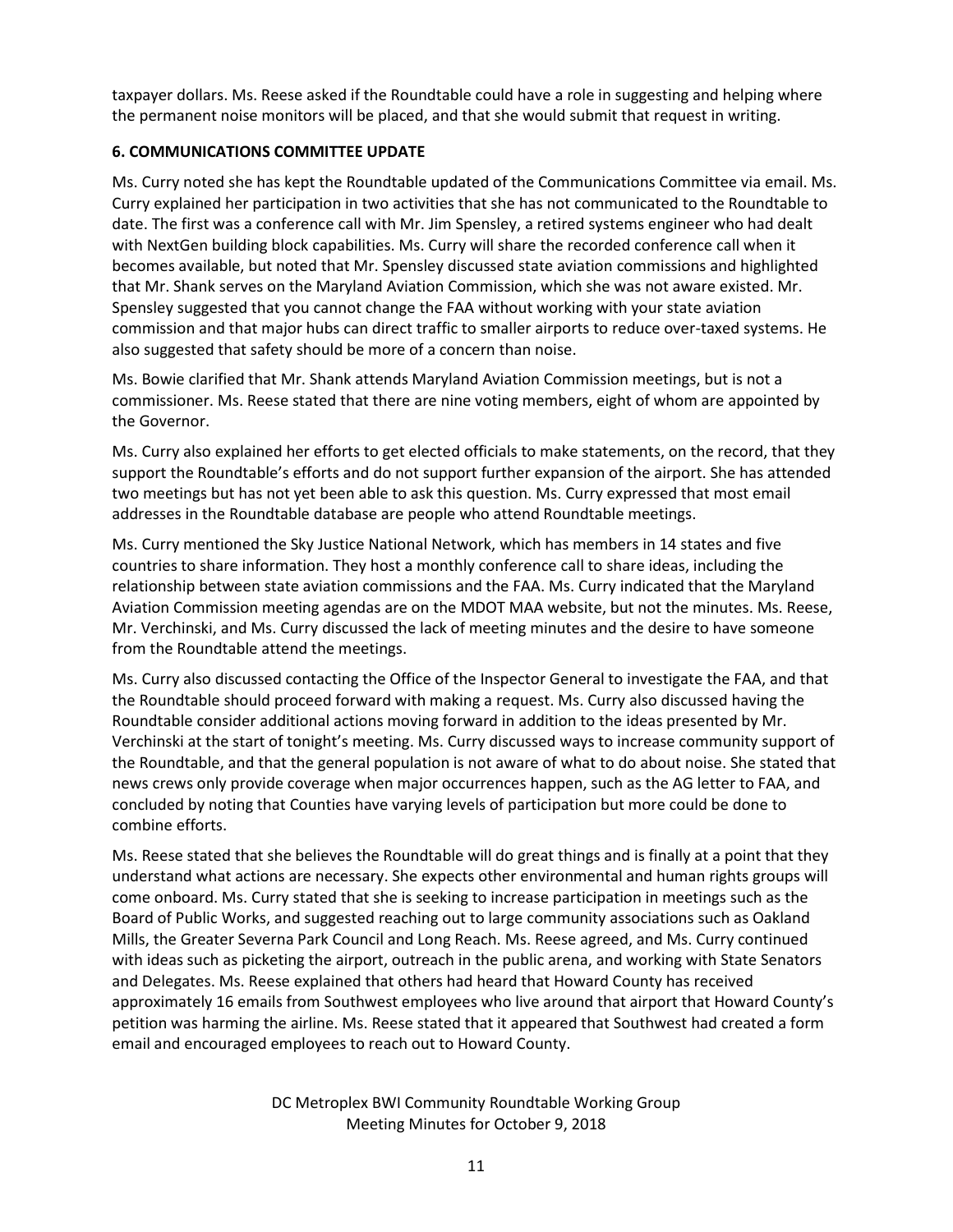taxpayer dollars. Ms. Reese asked if the Roundtable could have a role in suggesting and helping where the permanent noise monitors will be placed, and that she would submit that request in writing.

### **6. COMMUNICATIONS COMMITTEE UPDATE**

Ms. Curry noted she has kept the Roundtable updated of the Communications Committee via email. Ms. Curry explained her participation in two activities that she has not communicated to the Roundtable to date. The first was a conference call with Mr. Jim Spensley, a retired systems engineer who had dealt with NextGen building block capabilities. Ms. Curry will share the recorded conference call when it becomes available, but noted that Mr. Spensley discussed state aviation commissions and highlighted that Mr. Shank serves on the Maryland Aviation Commission, which she was not aware existed. Mr. Spensley suggested that you cannot change the FAA without working with your state aviation commission and that major hubs can direct traffic to smaller airports to reduce over-taxed systems. He also suggested that safety should be more of a concern than noise.

Ms. Bowie clarified that Mr. Shank attends Maryland Aviation Commission meetings, but is not a commissioner. Ms. Reese stated that there are nine voting members, eight of whom are appointed by the Governor.

Ms. Curry also explained her efforts to get elected officials to make statements, on the record, that they support the Roundtable's efforts and do not support further expansion of the airport. She has attended two meetings but has not yet been able to ask this question. Ms. Curry expressed that most email addresses in the Roundtable database are people who attend Roundtable meetings.

Ms. Curry mentioned the Sky Justice National Network, which has members in 14 states and five countries to share information. They host a monthly conference call to share ideas, including the relationship between state aviation commissions and the FAA. Ms. Curry indicated that the Maryland Aviation Commission meeting agendas are on the MDOT MAA website, but not the minutes. Ms. Reese, Mr. Verchinski, and Ms. Curry discussed the lack of meeting minutes and the desire to have someone from the Roundtable attend the meetings.

Ms. Curry also discussed contacting the Office of the Inspector General to investigate the FAA, and that the Roundtable should proceed forward with making a request. Ms. Curry also discussed having the Roundtable consider additional actions moving forward in addition to the ideas presented by Mr. Verchinski at the start of tonight's meeting. Ms. Curry discussed ways to increase community support of the Roundtable, and that the general population is not aware of what to do about noise. She stated that news crews only provide coverage when major occurrences happen, such as the AG letter to FAA, and concluded by noting that Counties have varying levels of participation but more could be done to combine efforts.

Ms. Reese stated that she believes the Roundtable will do great things and is finally at a point that they understand what actions are necessary. She expects other environmental and human rights groups will come onboard. Ms. Curry stated that she is seeking to increase participation in meetings such as the Board of Public Works, and suggested reaching out to large community associations such as Oakland Mills, the Greater Severna Park Council and Long Reach. Ms. Reese agreed, and Ms. Curry continued with ideas such as picketing the airport, outreach in the public arena, and working with State Senators and Delegates. Ms. Reese explained that others had heard that Howard County has received approximately 16 emails from Southwest employees who live around that airport that Howard County's petition was harming the airline. Ms. Reese stated that it appeared that Southwest had created a form email and encouraged employees to reach out to Howard County.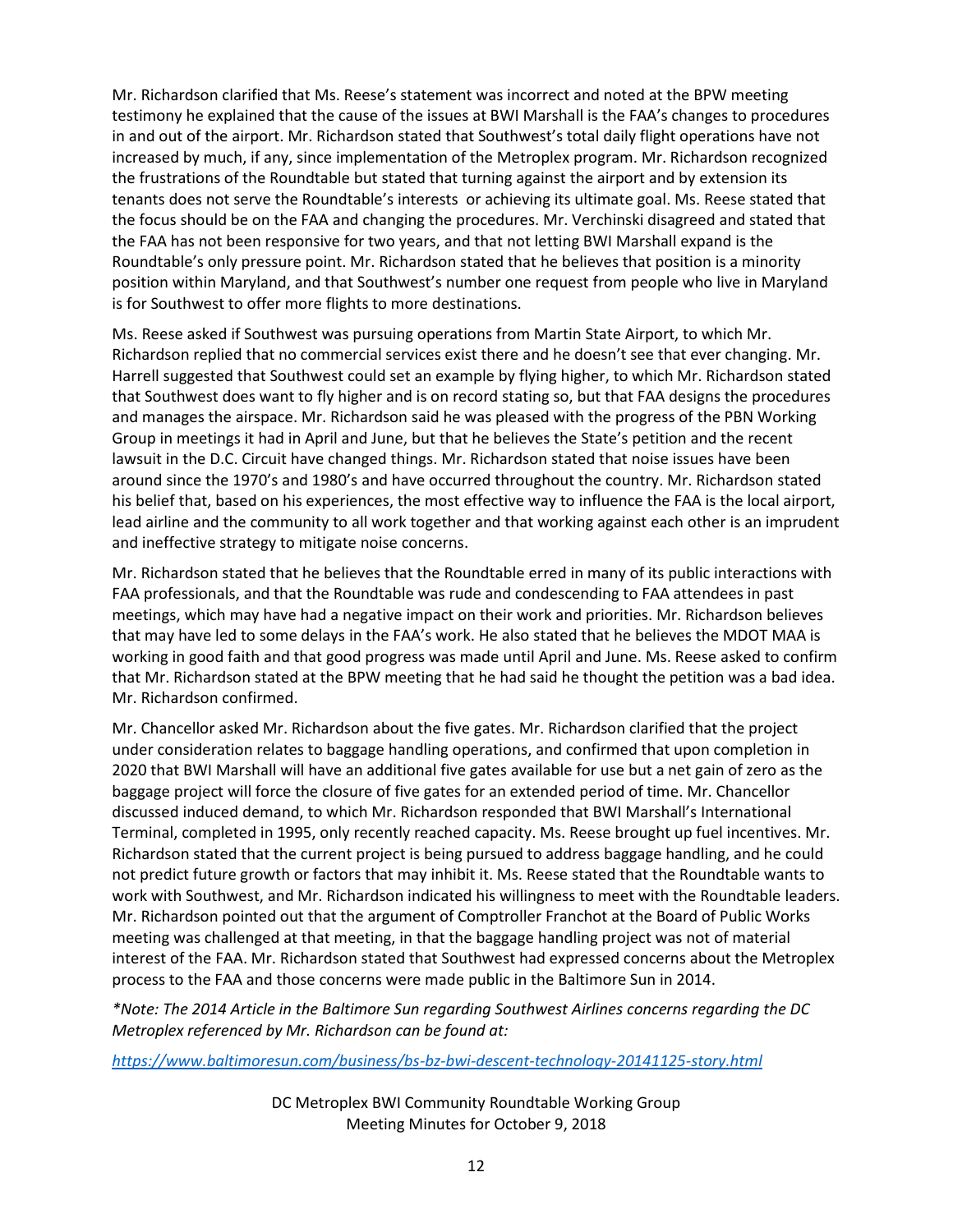Mr. Richardson clarified that Ms. Reese's statement was incorrect and noted at the BPW meeting testimony he explained that the cause of the issues at BWI Marshall is the FAA's changes to procedures in and out of the airport. Mr. Richardson stated that Southwest's total daily flight operations have not increased by much, if any, since implementation of the Metroplex program. Mr. Richardson recognized the frustrations of the Roundtable but stated that turning against the airport and by extension its tenants does not serve the Roundtable's interests or achieving its ultimate goal. Ms. Reese stated that the focus should be on the FAA and changing the procedures. Mr. Verchinski disagreed and stated that the FAA has not been responsive for two years, and that not letting BWI Marshall expand is the Roundtable's only pressure point. Mr. Richardson stated that he believes that position is a minority position within Maryland, and that Southwest's number one request from people who live in Maryland is for Southwest to offer more flights to more destinations.

Ms. Reese asked if Southwest was pursuing operations from Martin State Airport, to which Mr. Richardson replied that no commercial services exist there and he doesn't see that ever changing. Mr. Harrell suggested that Southwest could set an example by flying higher, to which Mr. Richardson stated that Southwest does want to fly higher and is on record stating so, but that FAA designs the procedures and manages the airspace. Mr. Richardson said he was pleased with the progress of the PBN Working Group in meetings it had in April and June, but that he believes the State's petition and the recent lawsuit in the D.C. Circuit have changed things. Mr. Richardson stated that noise issues have been around since the 1970's and 1980's and have occurred throughout the country. Mr. Richardson stated his belief that, based on his experiences, the most effective way to influence the FAA is the local airport, lead airline and the community to all work together and that working against each other is an imprudent and ineffective strategy to mitigate noise concerns.

Mr. Richardson stated that he believes that the Roundtable erred in many of its public interactions with FAA professionals, and that the Roundtable was rude and condescending to FAA attendees in past meetings, which may have had a negative impact on their work and priorities. Mr. Richardson believes that may have led to some delays in the FAA's work. He also stated that he believes the MDOT MAA is working in good faith and that good progress was made until April and June. Ms. Reese asked to confirm that Mr. Richardson stated at the BPW meeting that he had said he thought the petition was a bad idea. Mr. Richardson confirmed.

Mr. Chancellor asked Mr. Richardson about the five gates. Mr. Richardson clarified that the project under consideration relates to baggage handling operations, and confirmed that upon completion in 2020 that BWI Marshall will have an additional five gates available for use but a net gain of zero as the baggage project will force the closure of five gates for an extended period of time. Mr. Chancellor discussed induced demand, to which Mr. Richardson responded that BWI Marshall's International Terminal, completed in 1995, only recently reached capacity. Ms. Reese brought up fuel incentives. Mr. Richardson stated that the current project is being pursued to address baggage handling, and he could not predict future growth or factors that may inhibit it. Ms. Reese stated that the Roundtable wants to work with Southwest, and Mr. Richardson indicated his willingness to meet with the Roundtable leaders. Mr. Richardson pointed out that the argument of Comptroller Franchot at the Board of Public Works meeting was challenged at that meeting, in that the baggage handling project was not of material interest of the FAA. Mr. Richardson stated that Southwest had expressed concerns about the Metroplex process to the FAA and those concerns were made public in the Baltimore Sun in 2014.

*\*Note: The 2014 Article in the Baltimore Sun regarding Southwest Airlines concerns regarding the DC Metroplex referenced by Mr. Richardson can be found at:*

*<https://www.baltimoresun.com/business/bs-bz-bwi-descent-technology-20141125-story.html>*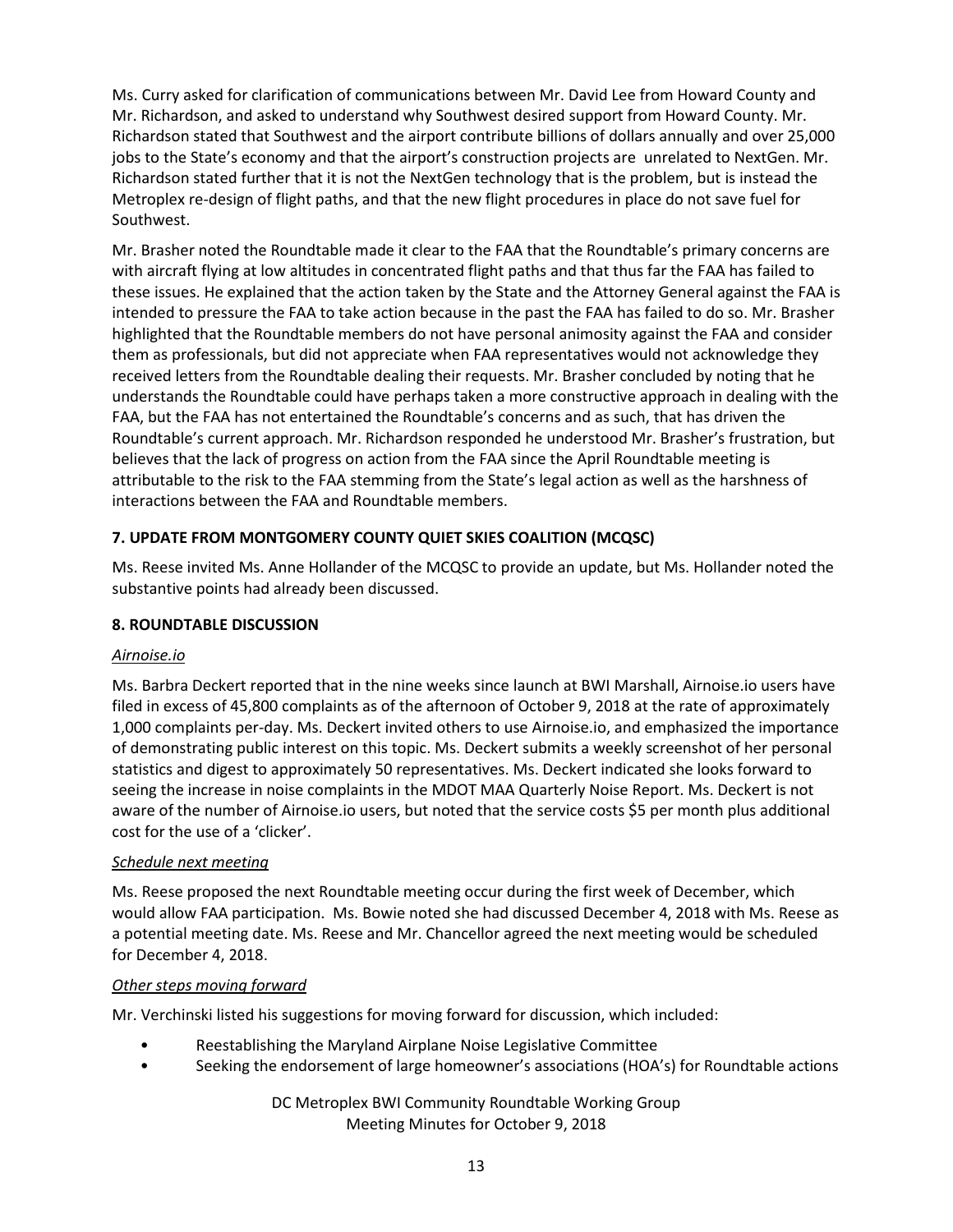Ms. Curry asked for clarification of communications between Mr. David Lee from Howard County and Mr. Richardson, and asked to understand why Southwest desired support from Howard County. Mr. Richardson stated that Southwest and the airport contribute billions of dollars annually and over 25,000 jobs to the State's economy and that the airport's construction projects are unrelated to NextGen. Mr. Richardson stated further that it is not the NextGen technology that is the problem, but is instead the Metroplex re-design of flight paths, and that the new flight procedures in place do not save fuel for Southwest.

Mr. Brasher noted the Roundtable made it clear to the FAA that the Roundtable's primary concerns are with aircraft flying at low altitudes in concentrated flight paths and that thus far the FAA has failed to these issues. He explained that the action taken by the State and the Attorney General against the FAA is intended to pressure the FAA to take action because in the past the FAA has failed to do so. Mr. Brasher highlighted that the Roundtable members do not have personal animosity against the FAA and consider them as professionals, but did not appreciate when FAA representatives would not acknowledge they received letters from the Roundtable dealing their requests. Mr. Brasher concluded by noting that he understands the Roundtable could have perhaps taken a more constructive approach in dealing with the FAA, but the FAA has not entertained the Roundtable's concerns and as such, that has driven the Roundtable's current approach. Mr. Richardson responded he understood Mr. Brasher's frustration, but believes that the lack of progress on action from the FAA since the April Roundtable meeting is attributable to the risk to the FAA stemming from the State's legal action as well as the harshness of interactions between the FAA and Roundtable members.

# **7. UPDATE FROM MONTGOMERY COUNTY QUIET SKIES COALITION (MCQSC)**

Ms. Reese invited Ms. Anne Hollander of the MCQSC to provide an update, but Ms. Hollander noted the substantive points had already been discussed.

# **8. ROUNDTABLE DISCUSSION**

### *Airnoise.io*

Ms. Barbra Deckert reported that in the nine weeks since launch at BWI Marshall, Airnoise.io users have filed in excess of 45,800 complaints as of the afternoon of October 9, 2018 at the rate of approximately 1,000 complaints per-day. Ms. Deckert invited others to use Airnoise.io, and emphasized the importance of demonstrating public interest on this topic. Ms. Deckert submits a weekly screenshot of her personal statistics and digest to approximately 50 representatives. Ms. Deckert indicated she looks forward to seeing the increase in noise complaints in the MDOT MAA Quarterly Noise Report. Ms. Deckert is not aware of the number of Airnoise.io users, but noted that the service costs \$5 per month plus additional cost for the use of a 'clicker'.

### *Schedule next meeting*

Ms. Reese proposed the next Roundtable meeting occur during the first week of December, which would allow FAA participation. Ms. Bowie noted she had discussed December 4, 2018 with Ms. Reese as a potential meeting date. Ms. Reese and Mr. Chancellor agreed the next meeting would be scheduled for December 4, 2018.

### *Other steps moving forward*

Mr. Verchinski listed his suggestions for moving forward for discussion, which included:

- Reestablishing the Maryland Airplane Noise Legislative Committee
- Seeking the endorsement of large homeowner's associations (HOA's) for Roundtable actions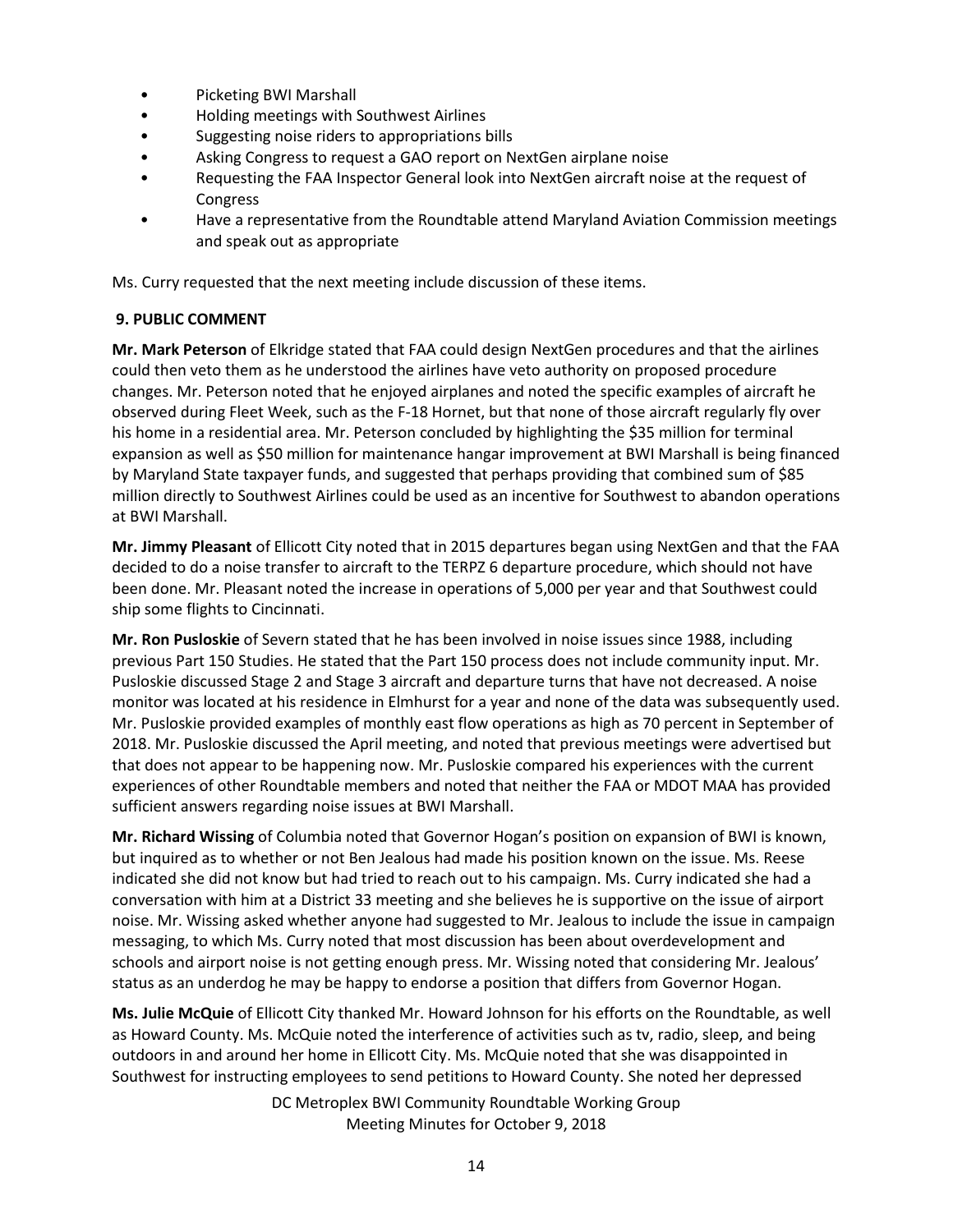- Picketing BWI Marshall
- Holding meetings with Southwest Airlines
- Suggesting noise riders to appropriations bills
- Asking Congress to request a GAO report on NextGen airplane noise
- Requesting the FAA Inspector General look into NextGen aircraft noise at the request of **Congress**
- Have a representative from the Roundtable attend Maryland Aviation Commission meetings and speak out as appropriate

Ms. Curry requested that the next meeting include discussion of these items.

### **9. PUBLIC COMMENT**

**Mr. Mark Peterson** of Elkridge stated that FAA could design NextGen procedures and that the airlines could then veto them as he understood the airlines have veto authority on proposed procedure changes. Mr. Peterson noted that he enjoyed airplanes and noted the specific examples of aircraft he observed during Fleet Week, such as the F-18 Hornet, but that none of those aircraft regularly fly over his home in a residential area. Mr. Peterson concluded by highlighting the \$35 million for terminal expansion as well as \$50 million for maintenance hangar improvement at BWI Marshall is being financed by Maryland State taxpayer funds, and suggested that perhaps providing that combined sum of \$85 million directly to Southwest Airlines could be used as an incentive for Southwest to abandon operations at BWI Marshall.

**Mr. Jimmy Pleasant** of Ellicott City noted that in 2015 departures began using NextGen and that the FAA decided to do a noise transfer to aircraft to the TERPZ 6 departure procedure, which should not have been done. Mr. Pleasant noted the increase in operations of 5,000 per year and that Southwest could ship some flights to Cincinnati.

**Mr. Ron Pusloskie** of Severn stated that he has been involved in noise issues since 1988, including previous Part 150 Studies. He stated that the Part 150 process does not include community input. Mr. Pusloskie discussed Stage 2 and Stage 3 aircraft and departure turns that have not decreased. A noise monitor was located at his residence in Elmhurst for a year and none of the data was subsequently used. Mr. Pusloskie provided examples of monthly east flow operations as high as 70 percent in September of 2018. Mr. Pusloskie discussed the April meeting, and noted that previous meetings were advertised but that does not appear to be happening now. Mr. Pusloskie compared his experiences with the current experiences of other Roundtable members and noted that neither the FAA or MDOT MAA has provided sufficient answers regarding noise issues at BWI Marshall.

**Mr. Richard Wissing** of Columbia noted that Governor Hogan's position on expansion of BWI is known, but inquired as to whether or not Ben Jealous had made his position known on the issue. Ms. Reese indicated she did not know but had tried to reach out to his campaign. Ms. Curry indicated she had a conversation with him at a District 33 meeting and she believes he is supportive on the issue of airport noise. Mr. Wissing asked whether anyone had suggested to Mr. Jealous to include the issue in campaign messaging, to which Ms. Curry noted that most discussion has been about overdevelopment and schools and airport noise is not getting enough press. Mr. Wissing noted that considering Mr. Jealous' status as an underdog he may be happy to endorse a position that differs from Governor Hogan.

**Ms. Julie McQuie** of Ellicott City thanked Mr. Howard Johnson for his efforts on the Roundtable, as well as Howard County. Ms. McQuie noted the interference of activities such as tv, radio, sleep, and being outdoors in and around her home in Ellicott City. Ms. McQuie noted that she was disappointed in Southwest for instructing employees to send petitions to Howard County. She noted her depressed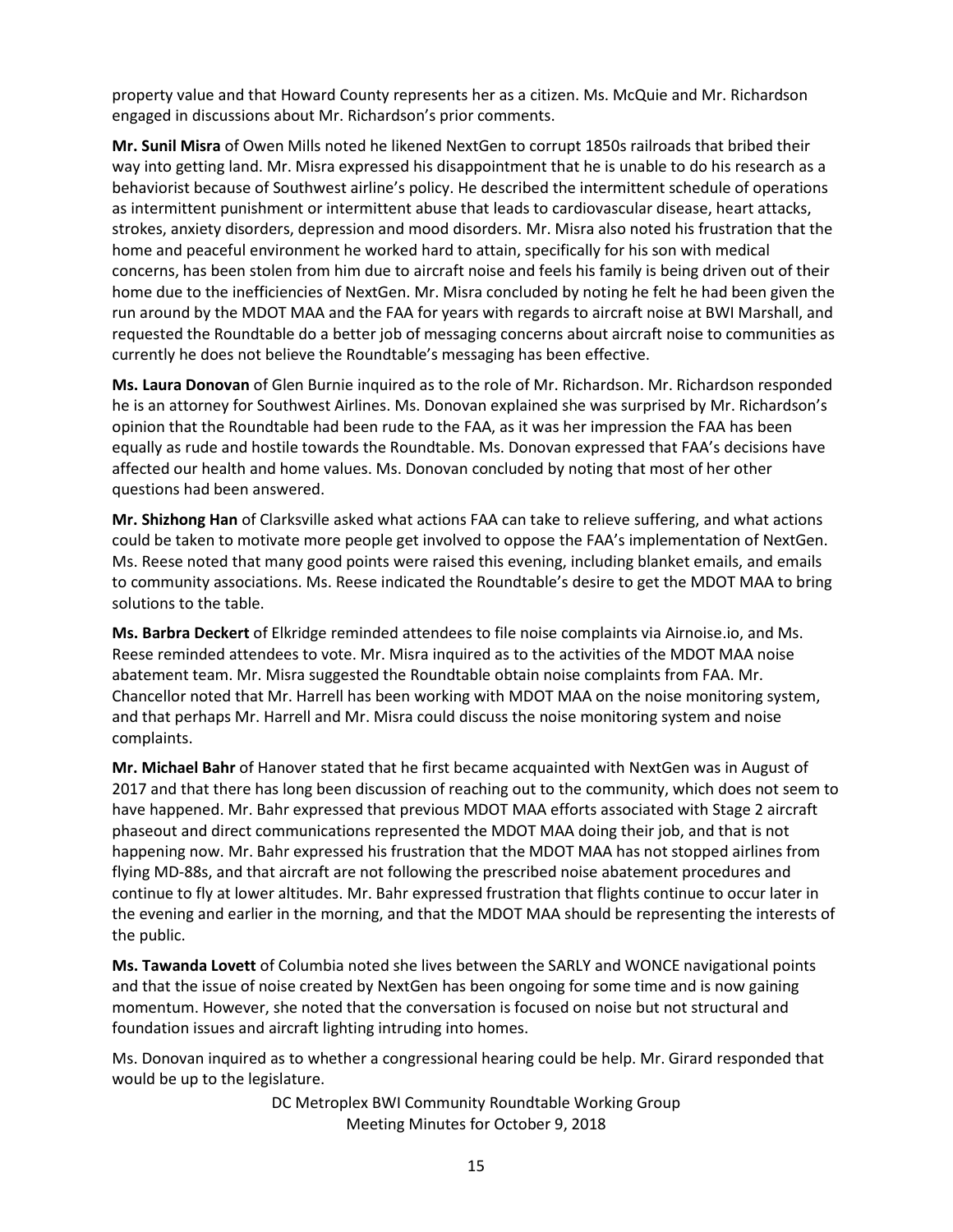property value and that Howard County represents her as a citizen. Ms. McQuie and Mr. Richardson engaged in discussions about Mr. Richardson's prior comments.

**Mr. Sunil Misra** of Owen Mills noted he likened NextGen to corrupt 1850s railroads that bribed their way into getting land. Mr. Misra expressed his disappointment that he is unable to do his research as a behaviorist because of Southwest airline's policy. He described the intermittent schedule of operations as intermittent punishment or intermittent abuse that leads to cardiovascular disease, heart attacks, strokes, anxiety disorders, depression and mood disorders. Mr. Misra also noted his frustration that the home and peaceful environment he worked hard to attain, specifically for his son with medical concerns, has been stolen from him due to aircraft noise and feels his family is being driven out of their home due to the inefficiencies of NextGen. Mr. Misra concluded by noting he felt he had been given the run around by the MDOT MAA and the FAA for years with regards to aircraft noise at BWI Marshall, and requested the Roundtable do a better job of messaging concerns about aircraft noise to communities as currently he does not believe the Roundtable's messaging has been effective.

**Ms. Laura Donovan** of Glen Burnie inquired as to the role of Mr. Richardson. Mr. Richardson responded he is an attorney for Southwest Airlines. Ms. Donovan explained she was surprised by Mr. Richardson's opinion that the Roundtable had been rude to the FAA, as it was her impression the FAA has been equally as rude and hostile towards the Roundtable. Ms. Donovan expressed that FAA's decisions have affected our health and home values. Ms. Donovan concluded by noting that most of her other questions had been answered.

**Mr. Shizhong Han** of Clarksville asked what actions FAA can take to relieve suffering, and what actions could be taken to motivate more people get involved to oppose the FAA's implementation of NextGen. Ms. Reese noted that many good points were raised this evening, including blanket emails, and emails to community associations. Ms. Reese indicated the Roundtable's desire to get the MDOT MAA to bring solutions to the table.

**Ms. Barbra Deckert** of Elkridge reminded attendees to file noise complaints via Airnoise.io, and Ms. Reese reminded attendees to vote. Mr. Misra inquired as to the activities of the MDOT MAA noise abatement team. Mr. Misra suggested the Roundtable obtain noise complaints from FAA. Mr. Chancellor noted that Mr. Harrell has been working with MDOT MAA on the noise monitoring system, and that perhaps Mr. Harrell and Mr. Misra could discuss the noise monitoring system and noise complaints.

**Mr. Michael Bahr** of Hanover stated that he first became acquainted with NextGen was in August of 2017 and that there has long been discussion of reaching out to the community, which does not seem to have happened. Mr. Bahr expressed that previous MDOT MAA efforts associated with Stage 2 aircraft phaseout and direct communications represented the MDOT MAA doing their job, and that is not happening now. Mr. Bahr expressed his frustration that the MDOT MAA has not stopped airlines from flying MD-88s, and that aircraft are not following the prescribed noise abatement procedures and continue to fly at lower altitudes. Mr. Bahr expressed frustration that flights continue to occur later in the evening and earlier in the morning, and that the MDOT MAA should be representing the interests of the public.

**Ms. Tawanda Lovett** of Columbia noted she lives between the SARLY and WONCE navigational points and that the issue of noise created by NextGen has been ongoing for some time and is now gaining momentum. However, she noted that the conversation is focused on noise but not structural and foundation issues and aircraft lighting intruding into homes.

Ms. Donovan inquired as to whether a congressional hearing could be help. Mr. Girard responded that would be up to the legislature.